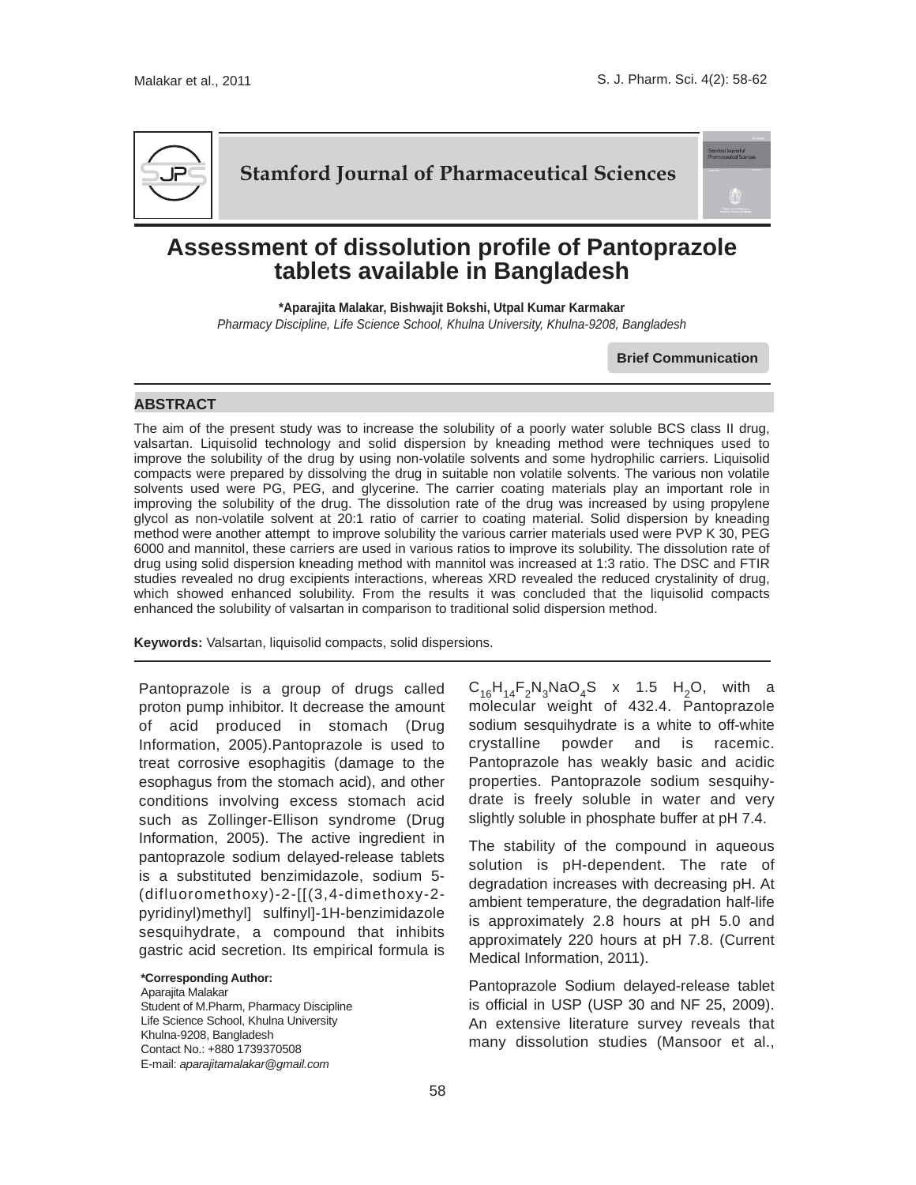

**Stamford Journal of Pharmaceutical Sciences**

## **Assessment of dissolution profile of Pantoprazole tablets available in Bangladesh**

**\*Aparajita Malakar, Bishwajit Bokshi, Utpal Kumar Karmakar** *Pharmacy Discipline, Life Science School, Khulna University, Khulna-9208, Bangladesh*

**Brief Communication**

## **ABSTRACT**

The aim of the present study was to increase the solubility of a poorly water soluble BCS class II drug, valsartan. Liquisolid technology and solid dispersion by kneading method were techniques used to improve the solubility of the drug by using non-volatile solvents and some hydrophilic carriers. Liquisolid compacts were prepared by dissolving the drug in suitable non volatile solvents. The various non volatile solvents used were PG, PEG, and glycerine. The carrier coating materials play an important role in improving the solubility of the drug. The dissolution rate of the drug was increased by using propylene glycol as non-volatile solvent at 20:1 ratio of carrier to coating material. Solid dispersion by kneading method were another attempt to improve solubility the various carrier materials used were PVP K 30, PEG 6000 and mannitol, these carriers are used in various ratios to improve its solubility. The dissolution rate of drug using solid dispersion kneading method with mannitol was increased at 1:3 ratio. The DSC and FTIR studies revealed no drug excipients interactions, whereas XRD revealed the reduced crystalinity of drug, which showed enhanced solubility. From the results it was concluded that the liquisolid compacts enhanced the solubility of valsartan in comparison to traditional solid dispersion method.

**Keywords:** Valsartan, liquisolid compacts, solid dispersions.

Pantoprazole is a group of drugs called proton pump inhibitor. It decrease the amount of acid produced in stomach (Drug Information, 2005).Pantoprazole is used to treat corrosive esophagitis (damage to the esophagus from the stomach acid), and other conditions involving excess stomach acid such as Zollinger-Ellison syndrome (Drug Information, 2005). The active ingredient in pantoprazole sodium delayed-release tablets is a substituted benzimidazole, sodium 5- (difluoromethoxy)-2-[[(3,4-dimethoxy-2 pyridinyl)methyl] sulfinyl]-1H-benzimidazole sesquihydrate, a compound that inhibits gastric acid secretion. Its empirical formula is

## **\*Corresponding Author:**

Aparajita Malakar Student of M.Pharm, Pharmacy Discipline Life Science School, Khulna University Khulna-9208, Bangladesh Contact No.: +880 1739370508 E-mail: *aparajitamalakar@gmail.com* 

 $C_{16}H_{14}F_2N_3NaO_4S$  x 1.5 H<sub>2</sub>O, with a molecular weight of 432.4. Pantoprazole sodium sesquihydrate is a white to off-white crystalline powder and is racemic. Pantoprazole has weakly basic and acidic properties. Pantoprazole sodium sesquihydrate is freely soluble in water and very slightly soluble in phosphate buffer at pH 7.4.

The stability of the compound in aqueous solution is pH-dependent. The rate of degradation increases with decreasing pH. At ambient temperature, the degradation half-life is approximately 2.8 hours at pH 5.0 and approximately 220 hours at pH 7.8. (Current Medical Information, 2011).

Pantoprazole Sodium delayed-release tablet is official in USP (USP 30 and NF 25, 2009). An extensive literature survey reveals that many dissolution studies (Mansoor et al.,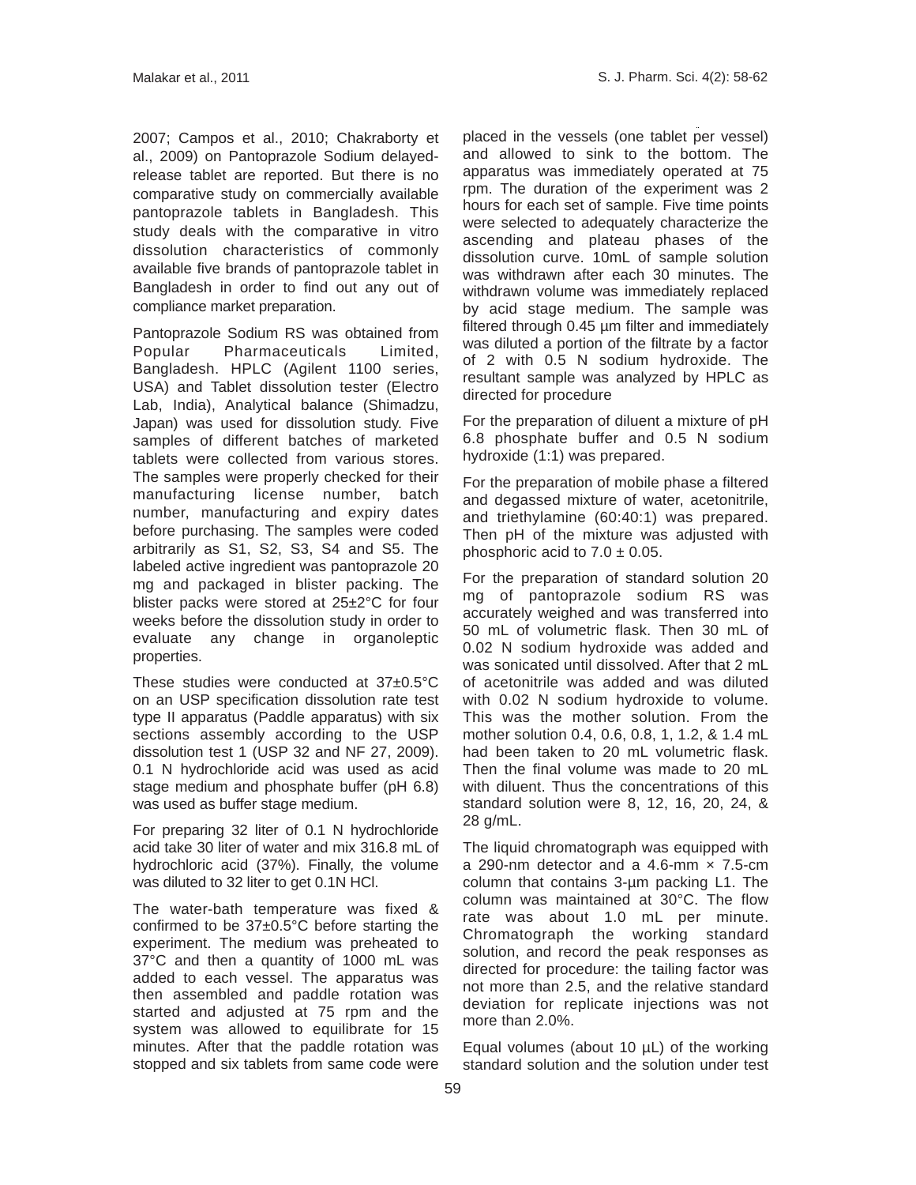2007; Campos et al., 2010; Chakraborty et al., 2009) on Pantoprazole Sodium delayedrelease tablet are reported. But there is no comparative study on commercially available pantoprazole tablets in Bangladesh. This study deals with the comparative in vitro dissolution characteristics of commonly available five brands of pantoprazole tablet in Bangladesh in order to find out any out of compliance market preparation.

Pantoprazole Sodium RS was obtained from Popular Pharmaceuticals Limited, Bangladesh. HPLC (Agilent 1100 series, USA) and Tablet dissolution tester (Electro Lab, India), Analytical balance (Shimadzu, Japan) was used for dissolution study. Five samples of different batches of marketed tablets were collected from various stores. The samples were properly checked for their manufacturing license number, batch number, manufacturing and expiry dates before purchasing. The samples were coded arbitrarily as S1, S2, S3, S4 and S5. The labeled active ingredient was pantoprazole 20 mg and packaged in blister packing. The blister packs were stored at 25±2°C for four weeks before the dissolution study in order to evaluate any change in organoleptic properties.

These studies were conducted at 37±0.5°C on an USP specification dissolution rate test type II apparatus (Paddle apparatus) with six sections assembly according to the USP dissolution test 1 (USP 32 and NF 27, 2009). 0.1 N hydrochloride acid was used as acid stage medium and phosphate buffer (pH 6.8) was used as buffer stage medium.

For preparing 32 liter of 0.1 N hydrochloride acid take 30 liter of water and mix 316.8 mL of hydrochloric acid (37%). Finally, the volume was diluted to 32 liter to get 0.1N HCl.

The water-bath temperature was fixed & confirmed to be 37±0.5°C before starting the experiment. The medium was preheated to 37°C and then a quantity of 1000 mL was added to each vessel. The apparatus was then assembled and paddle rotation was started and adjusted at 75 rpm and the system was allowed to equilibrate for 15 minutes. After that the paddle rotation was stopped and six tablets from same code were

placed in the vessels (one tablet per vessel) and allowed to sink to the bottom. The apparatus was immediately operated at 75 rpm. The duration of the experiment was 2 hours for each set of sample. Five time points were selected to adequately characterize the ascending and plateau phases of the dissolution curve. 10mL of sample solution was withdrawn after each 30 minutes. The withdrawn volume was immediately replaced by acid stage medium. The sample was filtered through 0.45 µm filter and immediately was diluted a portion of the filtrate by a factor of 2 with 0.5 N sodium hydroxide. The resultant sample was analyzed by HPLC as directed for procedure

For the preparation of diluent a mixture of pH 6.8 phosphate buffer and 0.5 N sodium hydroxide (1:1) was prepared.

For the preparation of mobile phase a filtered and degassed mixture of water, acetonitrile, and triethylamine (60:40:1) was prepared. Then pH of the mixture was adjusted with phosphoric acid to  $7.0 \pm 0.05$ .

For the preparation of standard solution 20 mg of pantoprazole sodium RS was accurately weighed and was transferred into 50 mL of volumetric flask. Then 30 mL of 0.02 N sodium hydroxide was added and was sonicated until dissolved. After that 2 mL of acetonitrile was added and was diluted with 0.02 N sodium hydroxide to volume. This was the mother solution. From the mother solution 0.4, 0.6, 0.8, 1, 1.2, & 1.4 mL had been taken to 20 mL volumetric flask. Then the final volume was made to 20 mL with diluent. Thus the concentrations of this standard solution were 8, 12, 16, 20, 24, & 28 g/mL.

The liquid chromatograph was equipped with a 290-nm detector and a 4.6-mm  $\times$  7.5-cm column that contains 3-µm packing L1. The column was maintained at 30°C. The flow rate was about 1.0 mL per minute. Chromatograph the working standard solution, and record the peak responses as directed for procedure: the tailing factor was not more than 2.5, and the relative standard deviation for replicate injections was not more than 2.0%.

Equal volumes (about 10 uL) of the working standard solution and the solution under test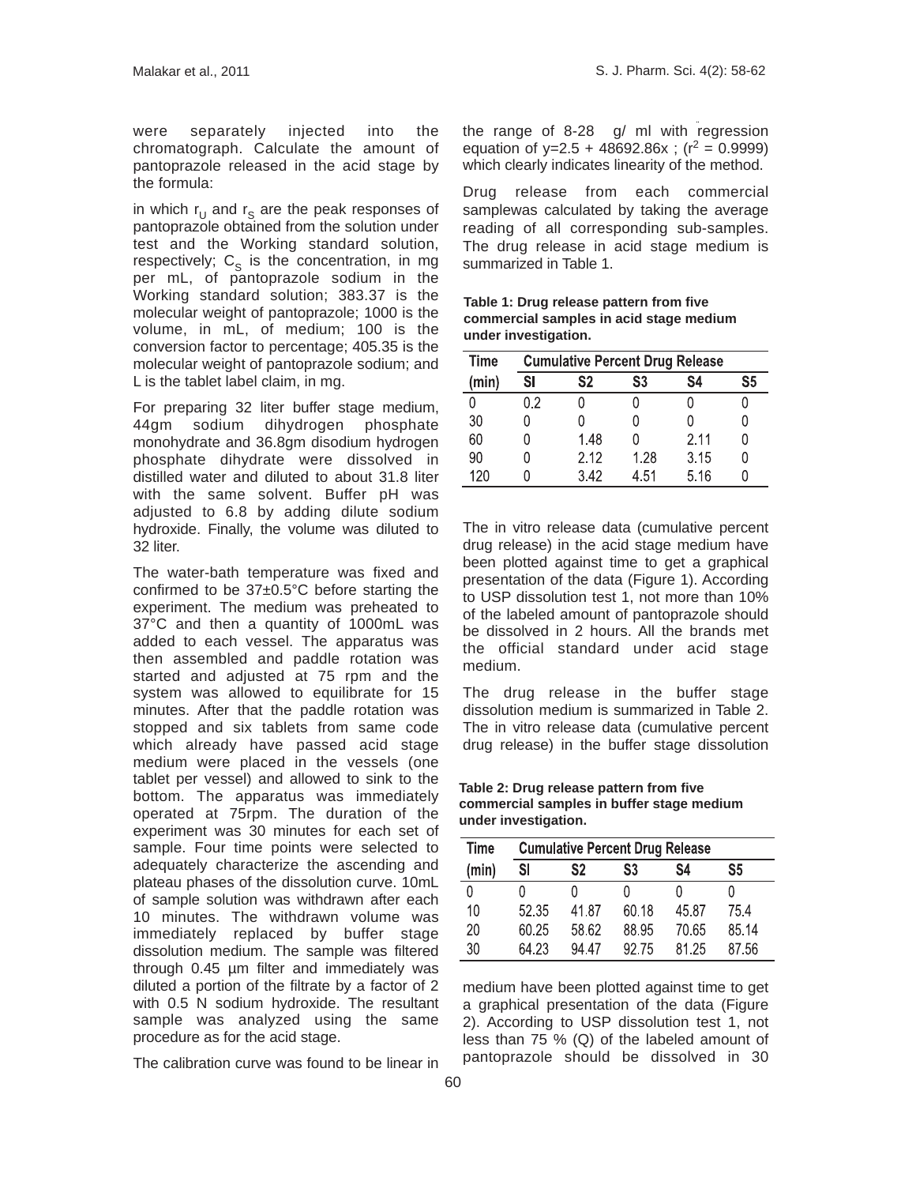were separately injected into the chromatograph. Calculate the amount of pantoprazole released in the acid stage by the formula:

in which  $r_U$  and  $r_S$  are the peak responses of pantoprazole obtained from the solution under test and the Working standard solution, respectively;  $C_S$  is the concentration, in mg per mL, of pantoprazole sodium in the Working standard solution; 383.37 is the molecular weight of pantoprazole; 1000 is the volume, in mL, of medium; 100 is the conversion factor to percentage; 405.35 is the molecular weight of pantoprazole sodium; and L is the tablet label claim, in mg.

For preparing 32 liter buffer stage medium, 44gm sodium dihydrogen phosphate monohydrate and 36.8gm disodium hydrogen phosphate dihydrate were dissolved in distilled water and diluted to about 31.8 liter with the same solvent. Buffer pH was adjusted to 6.8 by adding dilute sodium hydroxide. Finally, the volume was diluted to 32 liter.

The water-bath temperature was fixed and confirmed to be 37±0.5°C before starting the experiment. The medium was preheated to 37°C and then a quantity of 1000mL was added to each vessel. The apparatus was then assembled and paddle rotation was started and adjusted at 75 rpm and the system was allowed to equilibrate for 15 minutes. After that the paddle rotation was stopped and six tablets from same code which already have passed acid stage medium were placed in the vessels (one tablet per vessel) and allowed to sink to the bottom. The apparatus was immediately operated at 75rpm. The duration of the experiment was 30 minutes for each set of sample. Four time points were selected to adequately characterize the ascending and plateau phases of the dissolution curve. 10mL of sample solution was withdrawn after each 10 minutes. The withdrawn volume was immediately replaced by buffer stage dissolution medium. The sample was filtered through 0.45 µm filter and immediately was diluted a portion of the filtrate by a factor of 2 with 0.5 N sodium hydroxide. The resultant sample was analyzed using the same procedure as for the acid stage.

The calibration curve was found to be linear in

the range of 8-28 g/ ml with regression equation of y=2.5 + 48692.86x ; ( $r^2$  = 0.9999) which clearly indicates linearity of the method.

Drug release from each commercial samplewas calculated by taking the average reading of all corresponding sub-samples. The drug release in acid stage medium is summarized in Table 1.

**Table 1: Drug release pattern from five commercial samples in acid stage medium under investigation.**

| <b>Time</b> |    | <b>Cumulative Percent Drug Release</b> |      |      |    |  |  |  |
|-------------|----|----------------------------------------|------|------|----|--|--|--|
| (min)       | SI | S2                                     | S3   | S4   | S5 |  |  |  |
| N           | 02 |                                        |      |      |    |  |  |  |
| 30          |    |                                        |      |      |    |  |  |  |
| 60          |    | 1.48                                   |      | 2.11 |    |  |  |  |
| 90          |    | 2.12                                   | 1.28 | 3.15 |    |  |  |  |
| 120         |    | 3.42                                   | 4.51 | 5.16 |    |  |  |  |

The in vitro release data (cumulative percent drug release) in the acid stage medium have been plotted against time to get a graphical presentation of the data (Figure 1). According to USP dissolution test 1, not more than 10% of the labeled amount of pantoprazole should be dissolved in 2 hours. All the brands met the official standard under acid stage medium.

The drug release in the buffer stage dissolution medium is summarized in Table 2. The in vitro release data (cumulative percent drug release) in the buffer stage dissolution

**Table 2: Drug release pattern from five commercial samples in buffer stage medium under investigation.**

| <b>Time</b> |       | <b>Cumulative Percent Drug Release</b> |       |       |       |  |  |  |  |
|-------------|-------|----------------------------------------|-------|-------|-------|--|--|--|--|
| (min)       | SI    | S2                                     | S3    | S4    | S5    |  |  |  |  |
| N           |       |                                        |       |       |       |  |  |  |  |
| 10          | 52.35 | 41.87                                  | 60.18 | 45.87 | 75.4  |  |  |  |  |
| 20          | 60.25 | 58.62                                  | 88.95 | 70.65 | 85.14 |  |  |  |  |
| 30          | 64.23 | 94 47                                  | 9275  | 81 25 | 87.56 |  |  |  |  |

medium have been plotted against time to get a graphical presentation of the data (Figure 2). According to USP dissolution test 1, not less than 75 % (Q) of the labeled amount of pantoprazole should be dissolved in 30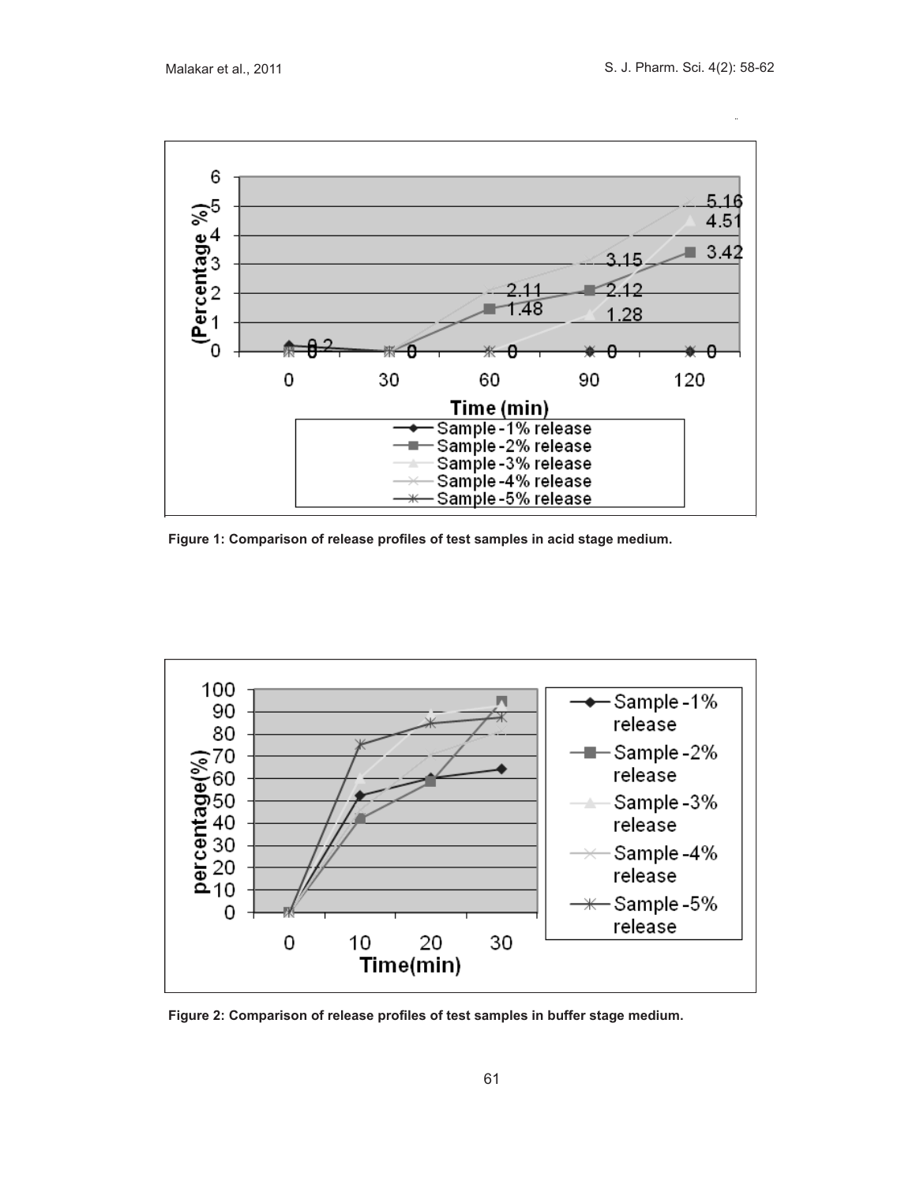

**Figure 1: Comparison of release profiles of test samples in acid stage medium.**



**Figure 2: Comparison of release profiles of test samples in buffer stage medium.**